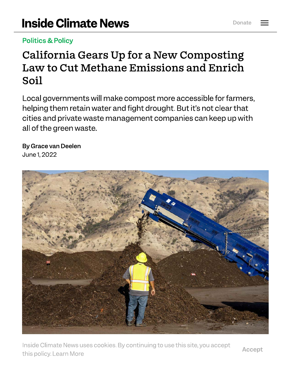# **Inside Climate News**

#### **Politics & Policy**

## California Gears Up for a New Composting Law to Cut Methane Emissions and Enrich Soil

Local governments will make compost more accessible for farmers, helping them retain water and fight drought. But it's not clear that cities and private waste management companies can keep up with all of the green waste.

By Grace van Deelen June 1, 2022

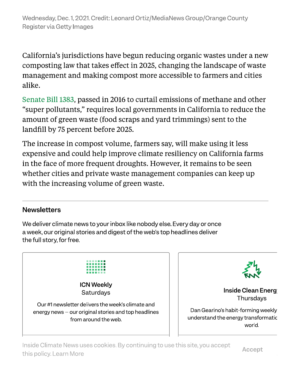Wednesday, Dec. 1, 2021. Credit: Leonard Ortiz/MediaNews Group/Orange County Register via Getty Images

California's jurisdictions have begun reducing organic wastes under a new composting law that takes effect in 2025, changing the landscape of waste management and making compost more accessible to farmers and cities alike.

Senate Bill 1383, passed in 2016 to curtail emissions of methane and other "super pollutants," requires local governments in California to reduce the amount of green waste (food scraps and yard trimmings) sent to the landfill by 75 percent before 2025.

The increase in compost volume, farmers say, will make using it less expensive and could help improve climate resiliency on California farms in the face of more frequent droughts. However, it remains to be seen whether cities and private waste management companies can keep up with the increasing volume of green waste.

#### **Newsletters**

We deliver climate news to your inbox like nobody else. Every day or once a week, our original stories and digest of the web's top headlines deliver the full story, for free.





Inside Clean Energ Thursdays

Dan Gearino's habit-forming weekly understand the energy transformatic world.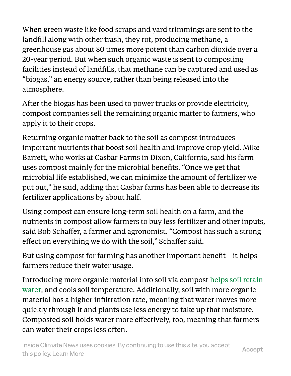When green waste like food scraps and yard trimmings are sent to the landfill along with other trash, they rot, producing methane, a greenhouse gas about 80 times more potent than carbon dioxide over a 20-year period. But when such organic waste is sent to composting facilities instead of landfills, that methane can be captured and used as "biogas," an energy source, rather than being released into the atmosphere.

After the biogas has been used to power trucks or provide electricity, compost companies sell the remaining organic matter to farmers, who apply it to their crops.

Returning organic matter back to the soil as compost introduces important nutrients that boost soil health and improve crop yield. Mike Barrett, who works at Casbar Farms in Dixon, California, said his farm uses compost mainly for the microbial benefits. "Once we get that microbial life established, we can minimize the amount of fertilizer we put out," he said, adding that Casbar farms has been able to decrease its fertilizer applications by about half.

Using compost can ensure long-term soil health on a farm, and the nutrients in compost allow farmers to buy less fertilizer and other inputs, said Bob Schaffer, a farmer and agronomist. "Compost has such a strong effect on everything we do with the soil," Schaffer said.

But using compost for farming has another important benefit-it helps farmers reduce their water usage.

Introducing more organic material into soil via compost helps soil retain water, and cools soil temperature. Additionally, soil with more organic material has a higher infiltration rate, meaning that water moves more quickly through it and plants use less energy to take up that moisture. Composted soil holds water more effectively, too, meaning that farmers can water their crops less often.

Inside Climate News uses cookies. By continuing to use this site, you accept Accept this policy. Learn More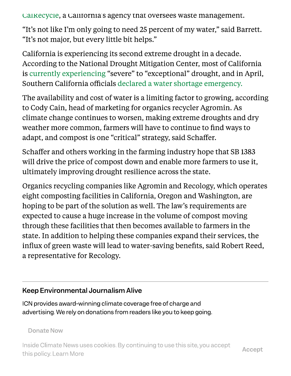Calkecycle, a California's agency that oversees waste management.

"It's not like I'm only going to need 25 percent of my water," said Barrett. "It's not major, but every little bit helps."

California is experiencing its second extreme drought in a decade. According to the National Drought Mitigation Center, most of California is currently experiencing "severe" to "exceptional" drought, and in April, Southern California officials declared a water shortage emergency.

The availability and cost of water is a limiting factor to growing, according to Cody Cain, head of marketing for organics recycler Agromin. As climate change continues to worsen, making extreme droughts and dry weather more common, farmers will have to continue to find ways to adapt, and compost is one "critical" strategy, said Schaffer.

Schaffer and others working in the farming industry hope that SB 1383 will drive the price of compost down and enable more farmers to use it, ultimately improving drought resilience across the state.

Organics recycling companies like Agromin and Recology, which operates eight composting facilities in California, Oregon and Washington, are hoping to be part of the solution as well. The law's requirements are expected to cause a huge increase in the volume of compost moving through these facilities that then becomes available to farmers in the state. In addition to helping these companies expand their services, the influx of green waste will lead to water-saving benefits, said Robert Reed, a representative for Recology.

#### **Keep Environmental Journalism Alive**

ICN provides award-winning climate coverage free of charge and advertising. We rely on donations from readers like you to keep going.

**Donate Now**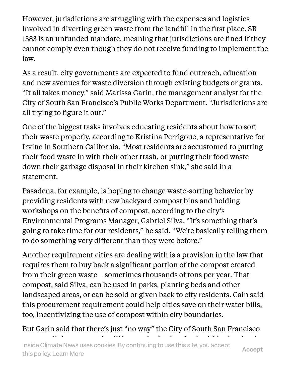However, jurisdictions are struggling with the expenses and logistics involved in diverting green waste from the landfill in the first place. SB 1383 is an unfunded mandate, meaning that jurisdictions are fined if they cannot comply even though they do not receive funding to implement the law.

As a result, city governments are expected to fund outreach, education and new avenues for waste diversion through existing budgets or grants. "It all takes money," said Marissa Garin, the management analyst for the City of South San Francisco's Public Works Department. "Jurisdictions are all trying to figure it out."

One of the biggest tasks involves educating residents about how to sort their waste properly, according to Kristina Perrigoue, a representative for Irvine in Southern California. "Most residents are accustomed to putting their food waste in with their other trash, or putting their food waste down their garbage disposal in their kitchen sink," she said in a statement.

Pasadena, for example, is hoping to change waste-sorting behavior by providing residents with new backyard compost bins and holding workshops on the benefits of compost, according to the city's Environmental Programs Manager, Gabriel Silva. "It's something that's going to take time for our residents," he said. "We're basically telling them to do something very different than they were before."

Another requirement cities are dealing with is a provision in the law that requires them to buy back a significant portion of the compost created from their green waste—sometimes thousands of tons per year. That compost, said Silva, can be used in parks, planting beds and other landscaped areas, or can be sold or given back to city residents. Cain said this procurement requirement could help cities save on their water bills, too, incentivizing the use of compost within city boundaries.

But Garin said that there's just "no way" the City of South San Francisco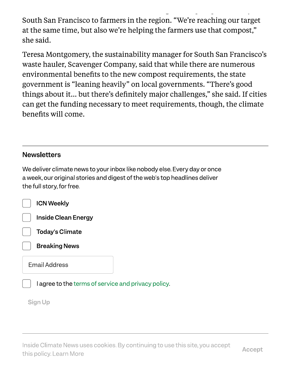South San Francisco to farmers in the region. "We're reaching our target at the same time, but also we're helping the farmers use that compost," she said.

Teresa Montgomery, the sustainability manager for South San Francisco's waste hauler, Scavenger Company, said that while there are numerous environmental benefits to the new compost requirements, the state government is "leaning heavily" on local governments. "There's good things about it... but there's definitely major challenges," she said. If cities can get the funding necessary to meet requirements, though, the climate benefits will come.

#### **Newsletters**

We deliver climate news to your inbox like nobody else. Every day or once a week, our original stories and digest of the web's top headlines deliver the full story, for free.

| <b>ICN Weekly</b> |
|-------------------|
|                   |

**Inside Clean Energy** 

**Today's Climate** 

**Breaking News** 

**Email Address** 

I agree to the terms of service and privacy policy.

Sign Up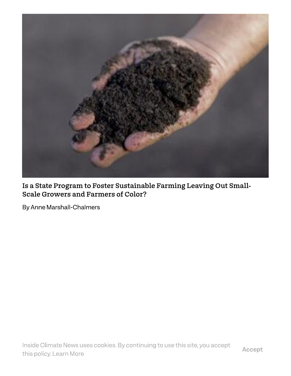

Is a State Program to Foster Sustainable Farming Leaving Out Small-Scale Growers and Farmers of Color?

By Anne Marshall-Chalmers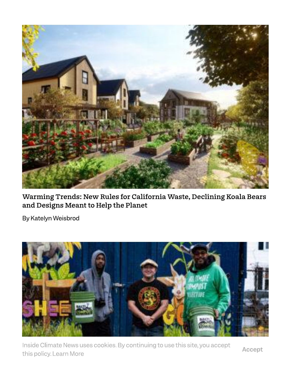

Warming Trends: New Rules for California Waste, Declining Koala Bears and Designs Meant to Help the Planet

By Katelyn Weisbrod

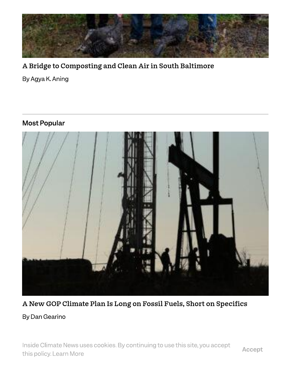

## A Bridge to Composting and Clean Air in South Baltimore

By Agya K. Aning

#### **Most Popular**



#### A New GOP Climate Plan Is Long on Fossil Fuels, Short on Specifics

#### By Dan Gearino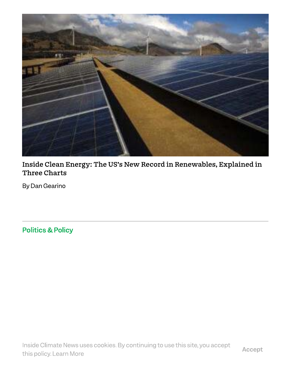

Inside Clean Energy: The US's New Record in Renewables, Explained in Three Charts

By Dan Gearino

**Politics & Policy**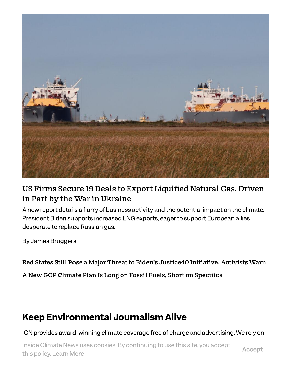

## US Firms Secure 19 Deals to Export Liquified Natural Gas, Driven in Part by the War in Ukraine

A new report details a flurry of business activity and the potential impact on the climate. President Biden supports increased LNG exports, eager to support European allies desperate to replace Russian gas.

By James Bruggers

Red States Still Pose a Major Threat to Biden's Justice 40 Initiative, Activists Warn

A New GOP Climate Plan Is Long on Fossil Fuels, Short on Specifics

## **Keep Environmental Journalism Alive**

ICN provides award-winning climate coverage free of charge and advertising. We rely on